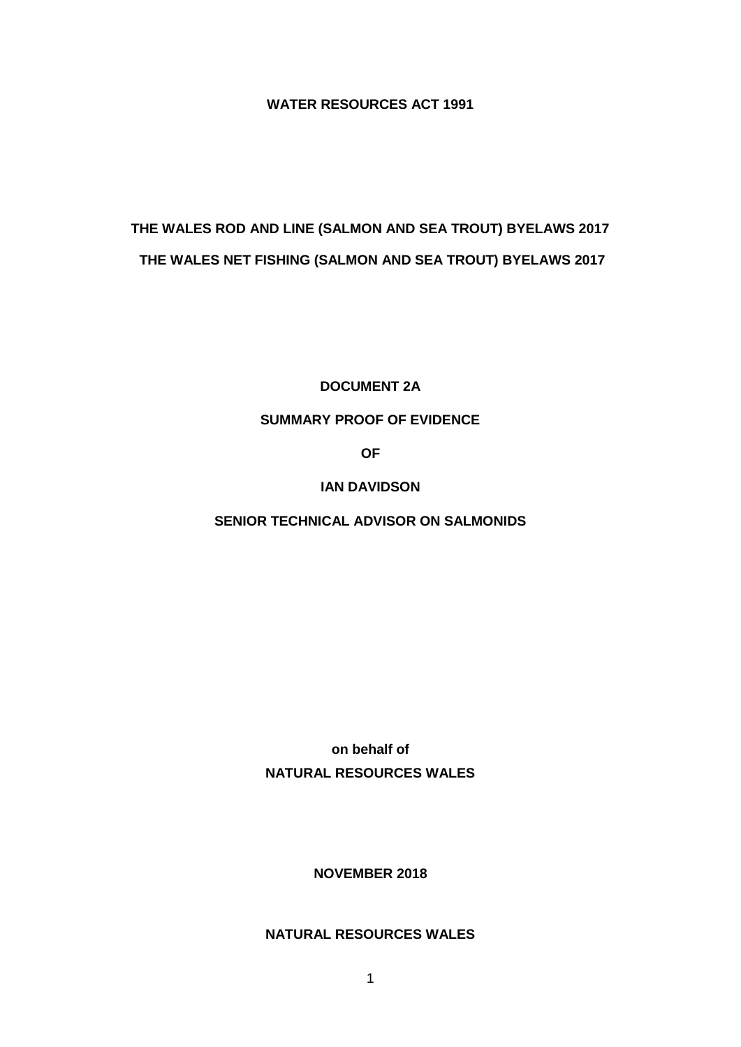**WATER RESOURCES ACT 1991**

# **THE WALES ROD AND LINE (SALMON AND SEA TROUT) BYELAWS 2017 THE WALES NET FISHING (SALMON AND SEA TROUT) BYELAWS 2017**

**DOCUMENT 2A**

## **SUMMARY PROOF OF EVIDENCE**

**OF**

**IAN DAVIDSON**

**SENIOR TECHNICAL ADVISOR ON SALMONIDS**

**on behalf of NATURAL RESOURCES WALES**

**NOVEMBER 2018**

# **NATURAL RESOURCES WALES**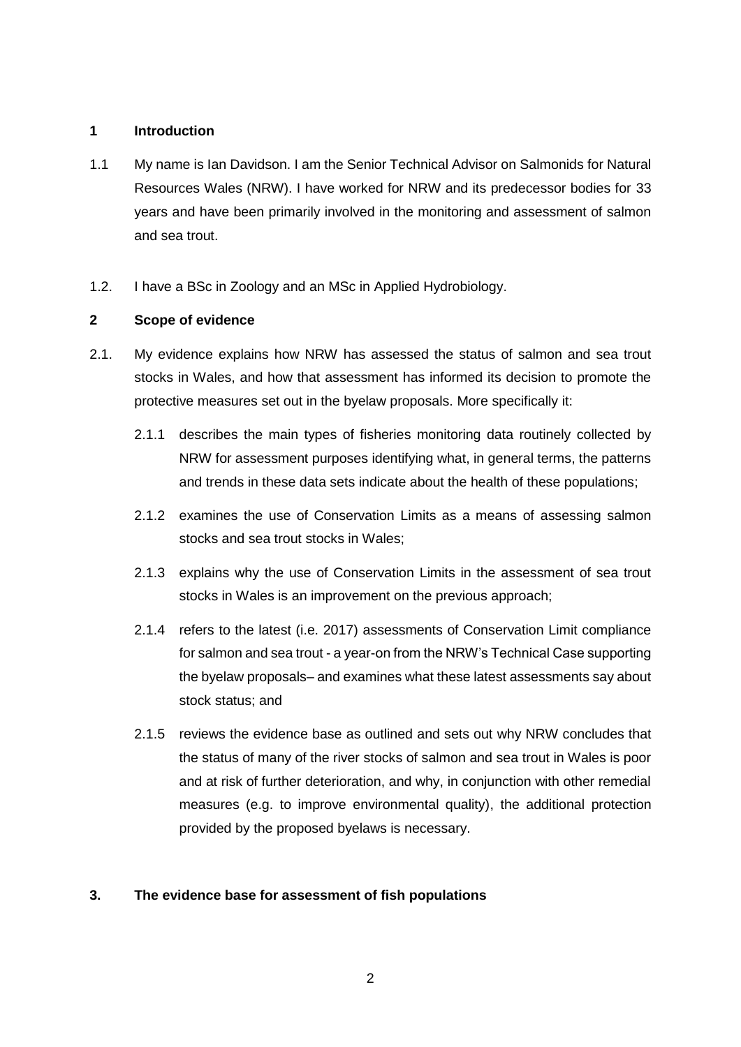### **1 Introduction**

- 1.1 My name is Ian Davidson. I am the Senior Technical Advisor on Salmonids for Natural Resources Wales (NRW). I have worked for NRW and its predecessor bodies for 33 years and have been primarily involved in the monitoring and assessment of salmon and sea trout.
- 1.2. I have a BSc in Zoology and an MSc in Applied Hydrobiology.

## **2 Scope of evidence**

- 2.1. My evidence explains how NRW has assessed the status of salmon and sea trout stocks in Wales, and how that assessment has informed its decision to promote the protective measures set out in the byelaw proposals. More specifically it:
	- 2.1.1 describes the main types of fisheries monitoring data routinely collected by NRW for assessment purposes identifying what, in general terms, the patterns and trends in these data sets indicate about the health of these populations;
	- 2.1.2 examines the use of Conservation Limits as a means of assessing salmon stocks and sea trout stocks in Wales;
	- 2.1.3 explains why the use of Conservation Limits in the assessment of sea trout stocks in Wales is an improvement on the previous approach;
	- 2.1.4 refers to the latest (i.e. 2017) assessments of Conservation Limit compliance for salmon and sea trout - a year-on from the NRW's Technical Case supporting the byelaw proposals– and examines what these latest assessments say about stock status; and
	- 2.1.5 reviews the evidence base as outlined and sets out why NRW concludes that the status of many of the river stocks of salmon and sea trout in Wales is poor and at risk of further deterioration, and why, in conjunction with other remedial measures (e.g. to improve environmental quality), the additional protection provided by the proposed byelaws is necessary.

## **3. The evidence base for assessment of fish populations**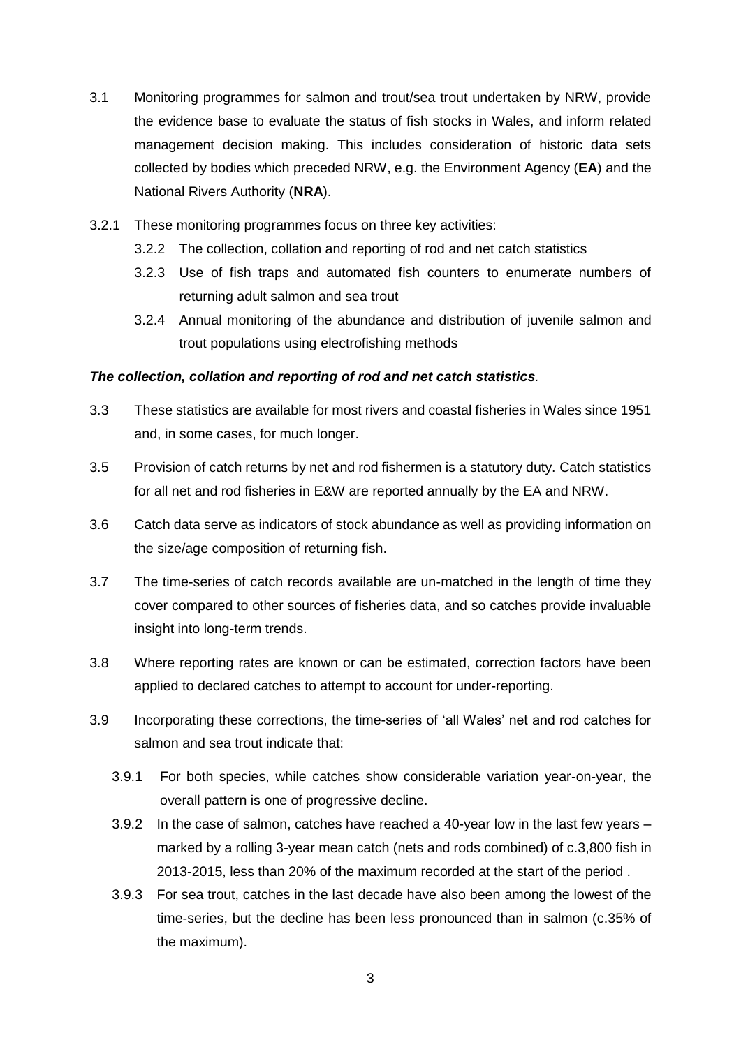- 3.1 Monitoring programmes for salmon and trout/sea trout undertaken by NRW, provide the evidence base to evaluate the status of fish stocks in Wales, and inform related management decision making. This includes consideration of historic data sets collected by bodies which preceded NRW, e.g. the Environment Agency (**EA**) and the National Rivers Authority (**NRA**).
- 3.2.1 These monitoring programmes focus on three key activities:
	- 3.2.2 The collection, collation and reporting of rod and net catch statistics
	- 3.2.3 Use of fish traps and automated fish counters to enumerate numbers of returning adult salmon and sea trout
	- 3.2.4 Annual monitoring of the abundance and distribution of juvenile salmon and trout populations using electrofishing methods

### *The collection, collation and reporting of rod and net catch statistics.*

- 3.3 These statistics are available for most rivers and coastal fisheries in Wales since 1951 and, in some cases, for much longer.
- 3.5 Provision of catch returns by net and rod fishermen is a statutory duty. Catch statistics for all net and rod fisheries in E&W are reported annually by the EA and NRW.
- 3.6 Catch data serve as indicators of stock abundance as well as providing information on the size/age composition of returning fish.
- 3.7 The time-series of catch records available are un-matched in the length of time they cover compared to other sources of fisheries data, and so catches provide invaluable insight into long-term trends.
- 3.8 Where reporting rates are known or can be estimated, correction factors have been applied to declared catches to attempt to account for under-reporting.
- 3.9 Incorporating these corrections, the time-series of 'all Wales' net and rod catches for salmon and sea trout indicate that:
	- 3.9.1 For both species, while catches show considerable variation year-on-year, the overall pattern is one of progressive decline.
	- 3.9.2 In the case of salmon, catches have reached a 40-year low in the last few years marked by a rolling 3-year mean catch (nets and rods combined) of c.3,800 fish in 2013-2015, less than 20% of the maximum recorded at the start of the period .
	- 3.9.3 For sea trout, catches in the last decade have also been among the lowest of the time-series, but the decline has been less pronounced than in salmon (c.35% of the maximum).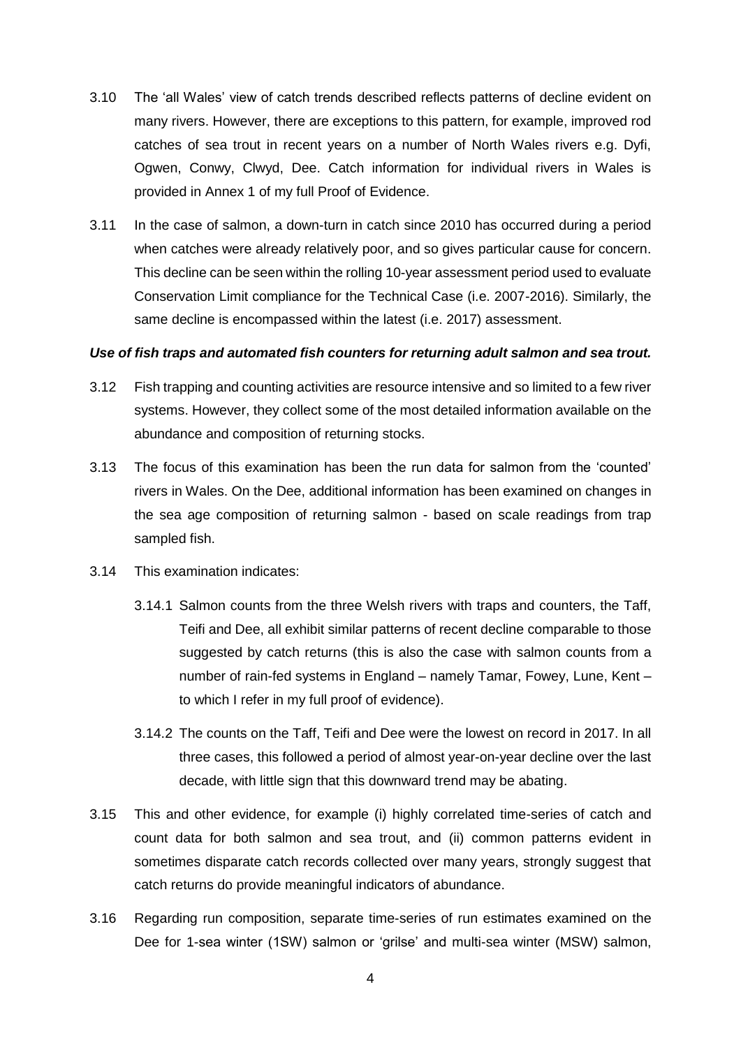- 3.10 The 'all Wales' view of catch trends described reflects patterns of decline evident on many rivers. However, there are exceptions to this pattern, for example, improved rod catches of sea trout in recent years on a number of North Wales rivers e.g. Dyfi, Ogwen, Conwy, Clwyd, Dee. Catch information for individual rivers in Wales is provided in Annex 1 of my full Proof of Evidence.
- 3.11 In the case of salmon, a down-turn in catch since 2010 has occurred during a period when catches were already relatively poor, and so gives particular cause for concern. This decline can be seen within the rolling 10-year assessment period used to evaluate Conservation Limit compliance for the Technical Case (i.e. 2007-2016). Similarly, the same decline is encompassed within the latest (i.e. 2017) assessment.

#### *Use of fish traps and automated fish counters for returning adult salmon and sea trout.*

- 3.12 Fish trapping and counting activities are resource intensive and so limited to a few river systems. However, they collect some of the most detailed information available on the abundance and composition of returning stocks.
- 3.13 The focus of this examination has been the run data for salmon from the 'counted' rivers in Wales. On the Dee, additional information has been examined on changes in the sea age composition of returning salmon - based on scale readings from trap sampled fish.
- 3.14 This examination indicates:
	- 3.14.1 Salmon counts from the three Welsh rivers with traps and counters, the Taff, Teifi and Dee, all exhibit similar patterns of recent decline comparable to those suggested by catch returns (this is also the case with salmon counts from a number of rain-fed systems in England – namely Tamar, Fowey, Lune, Kent – to which I refer in my full proof of evidence).
	- 3.14.2 The counts on the Taff, Teifi and Dee were the lowest on record in 2017. In all three cases, this followed a period of almost year-on-year decline over the last decade, with little sign that this downward trend may be abating.
- 3.15 This and other evidence, for example (i) highly correlated time-series of catch and count data for both salmon and sea trout, and (ii) common patterns evident in sometimes disparate catch records collected over many years, strongly suggest that catch returns do provide meaningful indicators of abundance.
- 3.16 Regarding run composition, separate time-series of run estimates examined on the Dee for 1-sea winter (1SW) salmon or 'grilse' and multi-sea winter (MSW) salmon,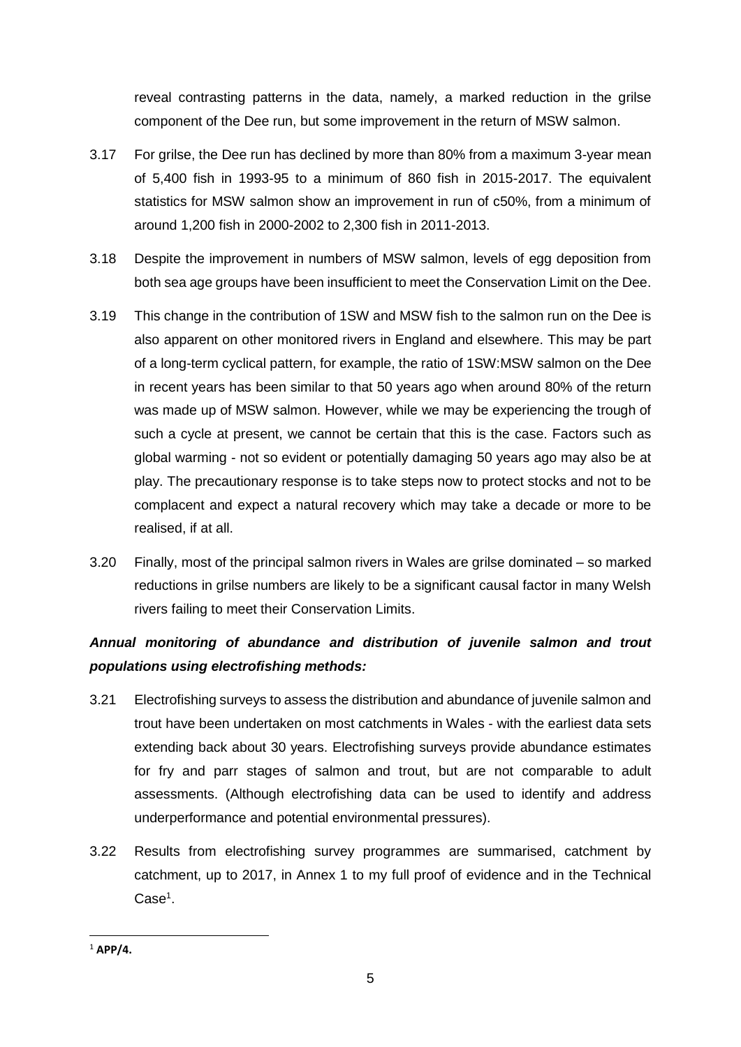reveal contrasting patterns in the data, namely, a marked reduction in the grilse component of the Dee run, but some improvement in the return of MSW salmon.

- 3.17 For grilse, the Dee run has declined by more than 80% from a maximum 3-year mean of 5,400 fish in 1993-95 to a minimum of 860 fish in 2015-2017. The equivalent statistics for MSW salmon show an improvement in run of c50%, from a minimum of around 1,200 fish in 2000-2002 to 2,300 fish in 2011-2013.
- 3.18 Despite the improvement in numbers of MSW salmon, levels of egg deposition from both sea age groups have been insufficient to meet the Conservation Limit on the Dee.
- 3.19 This change in the contribution of 1SW and MSW fish to the salmon run on the Dee is also apparent on other monitored rivers in England and elsewhere. This may be part of a long-term cyclical pattern, for example, the ratio of 1SW:MSW salmon on the Dee in recent years has been similar to that 50 years ago when around 80% of the return was made up of MSW salmon. However, while we may be experiencing the trough of such a cycle at present, we cannot be certain that this is the case. Factors such as global warming - not so evident or potentially damaging 50 years ago may also be at play. The precautionary response is to take steps now to protect stocks and not to be complacent and expect a natural recovery which may take a decade or more to be realised, if at all.
- 3.20 Finally, most of the principal salmon rivers in Wales are grilse dominated so marked reductions in grilse numbers are likely to be a significant causal factor in many Welsh rivers failing to meet their Conservation Limits.

# *Annual monitoring of abundance and distribution of juvenile salmon and trout populations using electrofishing methods:*

- 3.21 Electrofishing surveys to assess the distribution and abundance of juvenile salmon and trout have been undertaken on most catchments in Wales - with the earliest data sets extending back about 30 years. Electrofishing surveys provide abundance estimates for fry and parr stages of salmon and trout, but are not comparable to adult assessments. (Although electrofishing data can be used to identify and address underperformance and potential environmental pressures).
- 3.22 Results from electrofishing survey programmes are summarised, catchment by catchment, up to 2017, in Annex 1 to my full proof of evidence and in the Technical Case<sup>1</sup>.

**<sup>.</sup>** <sup>1</sup> **APP/4.**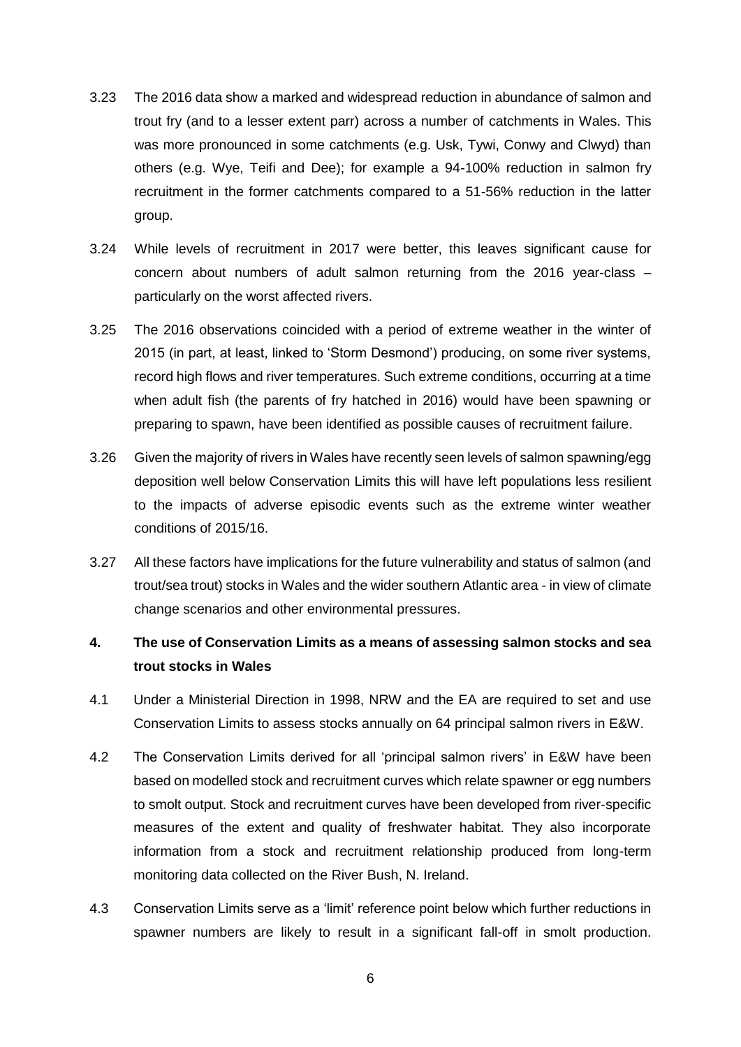- 3.23 The 2016 data show a marked and widespread reduction in abundance of salmon and trout fry (and to a lesser extent parr) across a number of catchments in Wales. This was more pronounced in some catchments (e.g. Usk, Tywi, Conwy and Clwyd) than others (e.g. Wye, Teifi and Dee); for example a 94-100% reduction in salmon fry recruitment in the former catchments compared to a 51-56% reduction in the latter group.
- 3.24 While levels of recruitment in 2017 were better, this leaves significant cause for concern about numbers of adult salmon returning from the 2016 year-class – particularly on the worst affected rivers.
- 3.25 The 2016 observations coincided with a period of extreme weather in the winter of 2015 (in part, at least, linked to 'Storm Desmond') producing, on some river systems, record high flows and river temperatures. Such extreme conditions, occurring at a time when adult fish (the parents of fry hatched in 2016) would have been spawning or preparing to spawn, have been identified as possible causes of recruitment failure.
- 3.26 Given the majority of rivers in Wales have recently seen levels of salmon spawning/egg deposition well below Conservation Limits this will have left populations less resilient to the impacts of adverse episodic events such as the extreme winter weather conditions of 2015/16.
- 3.27 All these factors have implications for the future vulnerability and status of salmon (and trout/sea trout) stocks in Wales and the wider southern Atlantic area - in view of climate change scenarios and other environmental pressures.

# **4. The use of Conservation Limits as a means of assessing salmon stocks and sea trout stocks in Wales**

- 4.1 Under a Ministerial Direction in 1998, NRW and the EA are required to set and use Conservation Limits to assess stocks annually on 64 principal salmon rivers in E&W.
- 4.2 The Conservation Limits derived for all 'principal salmon rivers' in E&W have been based on modelled stock and recruitment curves which relate spawner or egg numbers to smolt output. Stock and recruitment curves have been developed from river-specific measures of the extent and quality of freshwater habitat. They also incorporate information from a stock and recruitment relationship produced from long-term monitoring data collected on the River Bush, N. Ireland.
- 4.3 Conservation Limits serve as a 'limit' reference point below which further reductions in spawner numbers are likely to result in a significant fall-off in smolt production.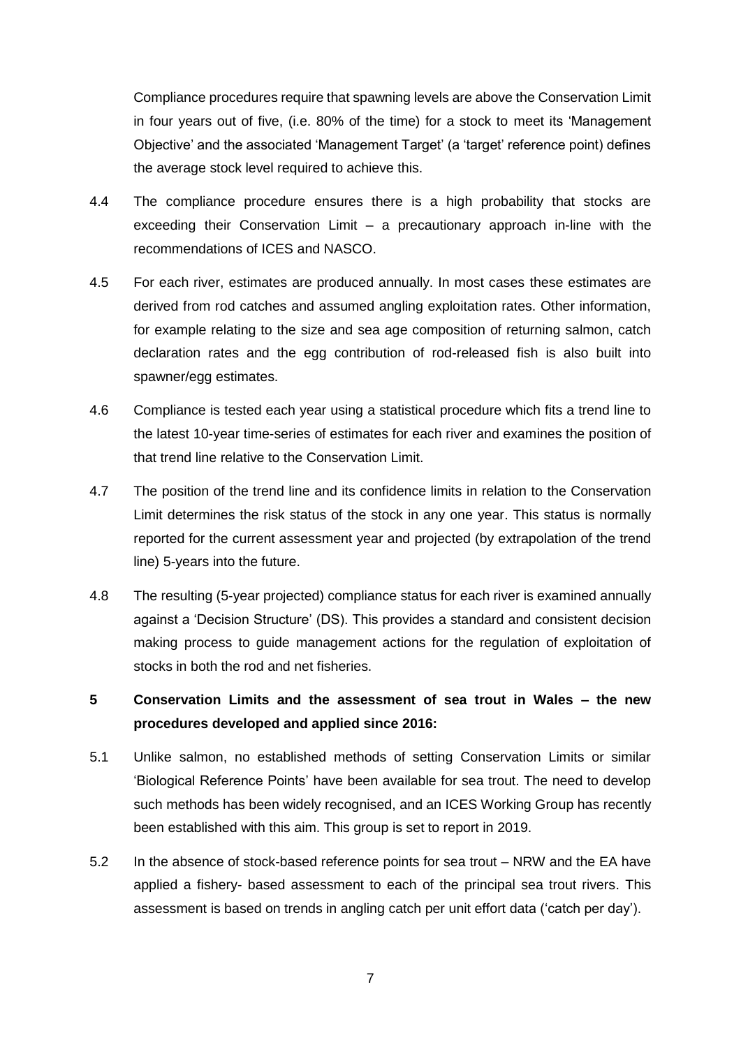Compliance procedures require that spawning levels are above the Conservation Limit in four years out of five, (i.e. 80% of the time) for a stock to meet its 'Management Objective' and the associated 'Management Target' (a 'target' reference point) defines the average stock level required to achieve this.

- 4.4 The compliance procedure ensures there is a high probability that stocks are exceeding their Conservation Limit – a precautionary approach in-line with the recommendations of ICES and NASCO.
- 4.5 For each river, estimates are produced annually. In most cases these estimates are derived from rod catches and assumed angling exploitation rates. Other information, for example relating to the size and sea age composition of returning salmon, catch declaration rates and the egg contribution of rod-released fish is also built into spawner/egg estimates.
- 4.6 Compliance is tested each year using a statistical procedure which fits a trend line to the latest 10-year time-series of estimates for each river and examines the position of that trend line relative to the Conservation Limit.
- 4.7 The position of the trend line and its confidence limits in relation to the Conservation Limit determines the risk status of the stock in any one year. This status is normally reported for the current assessment year and projected (by extrapolation of the trend line) 5-years into the future.
- 4.8 The resulting (5-year projected) compliance status for each river is examined annually against a 'Decision Structure' (DS). This provides a standard and consistent decision making process to guide management actions for the regulation of exploitation of stocks in both the rod and net fisheries.

# **5 Conservation Limits and the assessment of sea trout in Wales – the new procedures developed and applied since 2016:**

- 5.1 Unlike salmon, no established methods of setting Conservation Limits or similar 'Biological Reference Points' have been available for sea trout. The need to develop such methods has been widely recognised, and an ICES Working Group has recently been established with this aim. This group is set to report in 2019.
- 5.2 In the absence of stock-based reference points for sea trout NRW and the EA have applied a fishery- based assessment to each of the principal sea trout rivers. This assessment is based on trends in angling catch per unit effort data ('catch per day').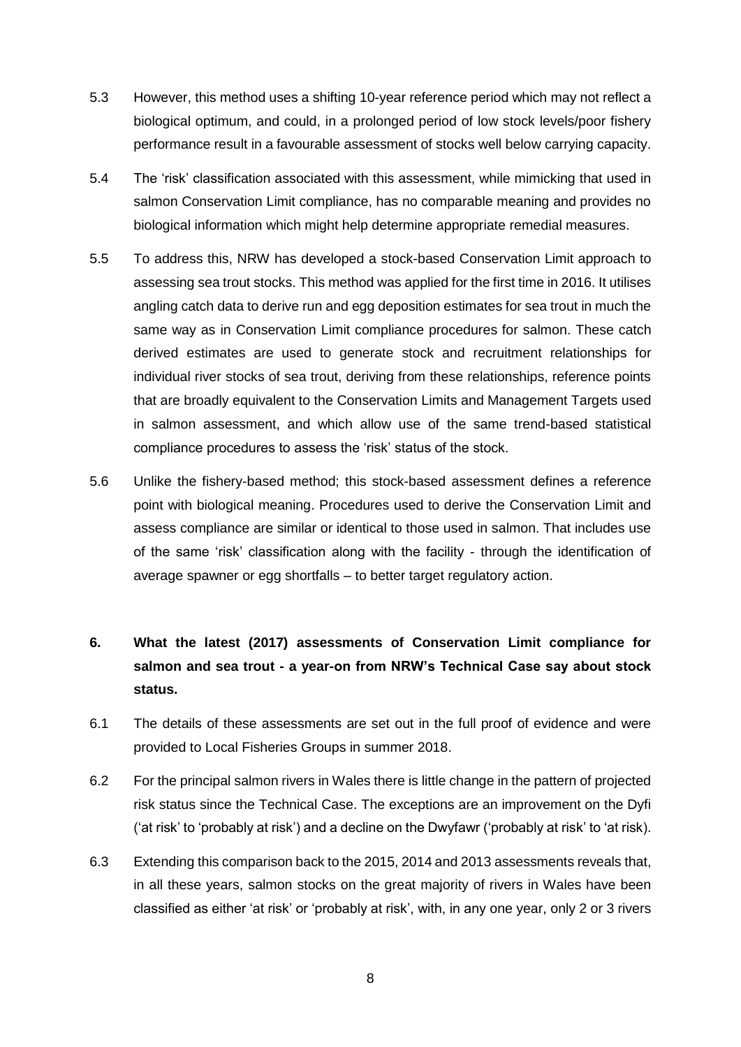- 5.3 However, this method uses a shifting 10-year reference period which may not reflect a biological optimum, and could, in a prolonged period of low stock levels/poor fishery performance result in a favourable assessment of stocks well below carrying capacity.
- 5.4 The 'risk' classification associated with this assessment, while mimicking that used in salmon Conservation Limit compliance, has no comparable meaning and provides no biological information which might help determine appropriate remedial measures.
- 5.5 To address this, NRW has developed a stock-based Conservation Limit approach to assessing sea trout stocks. This method was applied for the first time in 2016. It utilises angling catch data to derive run and egg deposition estimates for sea trout in much the same way as in Conservation Limit compliance procedures for salmon. These catch derived estimates are used to generate stock and recruitment relationships for individual river stocks of sea trout, deriving from these relationships, reference points that are broadly equivalent to the Conservation Limits and Management Targets used in salmon assessment, and which allow use of the same trend-based statistical compliance procedures to assess the 'risk' status of the stock.
- 5.6 Unlike the fishery-based method; this stock-based assessment defines a reference point with biological meaning. Procedures used to derive the Conservation Limit and assess compliance are similar or identical to those used in salmon. That includes use of the same 'risk' classification along with the facility - through the identification of average spawner or egg shortfalls – to better target regulatory action.

# **6. What the latest (2017) assessments of Conservation Limit compliance for salmon and sea trout - a year-on from NRW's Technical Case say about stock status.**

- 6.1 The details of these assessments are set out in the full proof of evidence and were provided to Local Fisheries Groups in summer 2018.
- 6.2 For the principal salmon rivers in Wales there is little change in the pattern of projected risk status since the Technical Case. The exceptions are an improvement on the Dyfi ('at risk' to 'probably at risk') and a decline on the Dwyfawr ('probably at risk' to 'at risk).
- 6.3 Extending this comparison back to the 2015, 2014 and 2013 assessments reveals that, in all these years, salmon stocks on the great majority of rivers in Wales have been classified as either 'at risk' or 'probably at risk', with, in any one year, only 2 or 3 rivers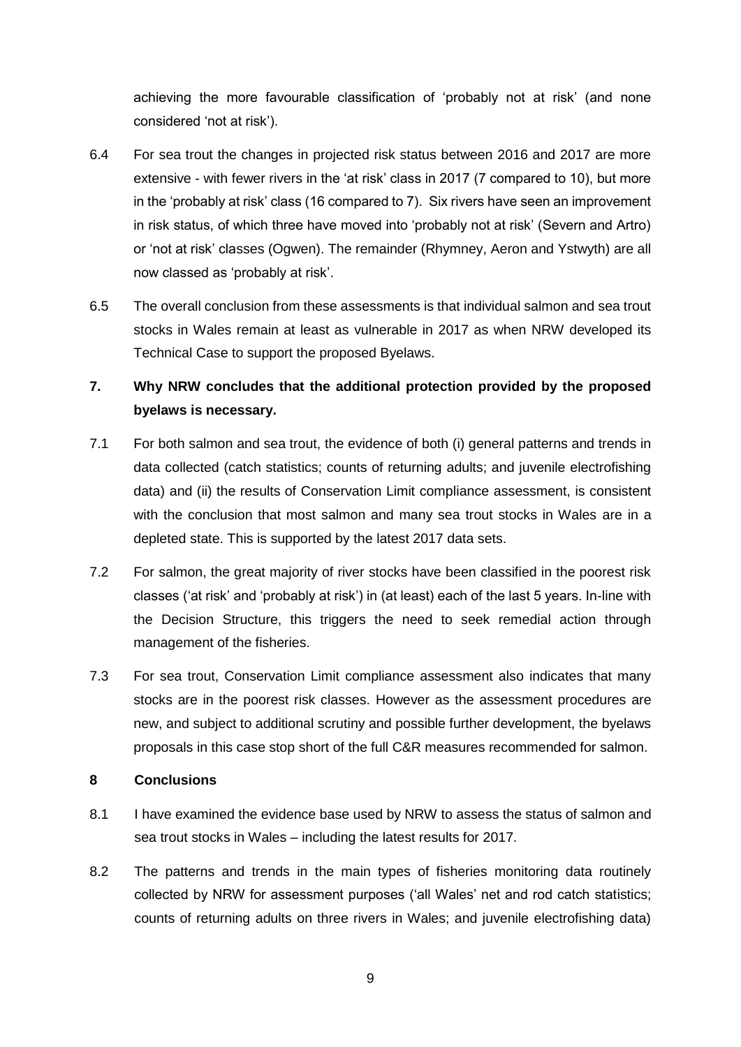achieving the more favourable classification of 'probably not at risk' (and none considered 'not at risk').

- 6.4 For sea trout the changes in projected risk status between 2016 and 2017 are more extensive - with fewer rivers in the 'at risk' class in 2017 (7 compared to 10), but more in the 'probably at risk' class (16 compared to 7). Six rivers have seen an improvement in risk status, of which three have moved into 'probably not at risk' (Severn and Artro) or 'not at risk' classes (Ogwen). The remainder (Rhymney, Aeron and Ystwyth) are all now classed as 'probably at risk'.
- 6.5 The overall conclusion from these assessments is that individual salmon and sea trout stocks in Wales remain at least as vulnerable in 2017 as when NRW developed its Technical Case to support the proposed Byelaws.

# **7. Why NRW concludes that the additional protection provided by the proposed byelaws is necessary.**

- 7.1 For both salmon and sea trout, the evidence of both (i) general patterns and trends in data collected (catch statistics; counts of returning adults; and juvenile electrofishing data) and (ii) the results of Conservation Limit compliance assessment, is consistent with the conclusion that most salmon and many sea trout stocks in Wales are in a depleted state. This is supported by the latest 2017 data sets.
- 7.2 For salmon, the great majority of river stocks have been classified in the poorest risk classes ('at risk' and 'probably at risk') in (at least) each of the last 5 years. In-line with the Decision Structure, this triggers the need to seek remedial action through management of the fisheries.
- 7.3 For sea trout, Conservation Limit compliance assessment also indicates that many stocks are in the poorest risk classes. However as the assessment procedures are new, and subject to additional scrutiny and possible further development, the byelaws proposals in this case stop short of the full C&R measures recommended for salmon.

### **8 Conclusions**

- 8.1 I have examined the evidence base used by NRW to assess the status of salmon and sea trout stocks in Wales – including the latest results for 2017.
- 8.2 The patterns and trends in the main types of fisheries monitoring data routinely collected by NRW for assessment purposes ('all Wales' net and rod catch statistics; counts of returning adults on three rivers in Wales; and juvenile electrofishing data)